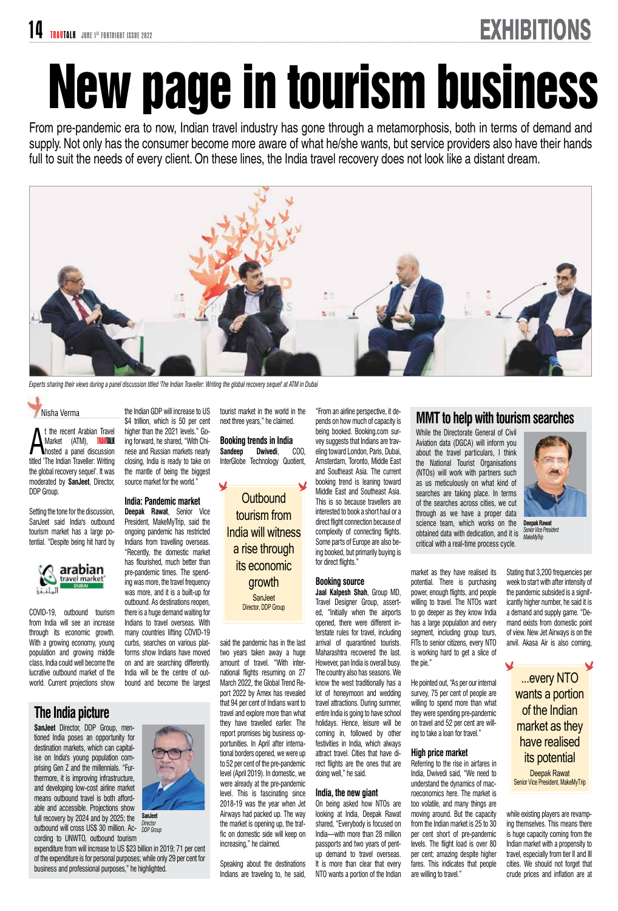# New page in tourism business

From pre-pandemic era to now, Indian travel industry has gone through a metamorphosis, both in terms of demand and supply. Not only has the consumer become more aware of what he/she wants, but service providers also have their hands full to suit the needs of every client. On these lines, the India travel recovery does not look like a distant dream.



*Experts sharing their views during a panel discussion titled 'The Indian Traveller: Writing the global recovery sequel' at ATM in Dubai*

Nisha Verma

**A** the recent Anabian Travel<br>
Market (ATM), **RAVIALK**<br>
titled 'The Indian Traveller: Writing t the recent Arabian Travel Market (ATM), TRAUTALK hosted a panel discussion the global recovery sequel'. It was moderated by **SanJeet**, Director, DDP Group.

Setting the tone for the discussion, SanJeet said India's outbound tourism market has a large potential. "Despite being hit hard by



COVID-19, outbound tourism from India will see an increase through its economic growth. With a growing economy, young population and growing middle class, India could well become the lucrative outbound market of the world. Current projections show

### **The India picture**

**SanJeet** Director, DDP Group, mentioned India poses an opportunity for destination markets, which can capitalise on India's young population comprising Gen Z and the millennials. "Furthermore, it is improving infrastructure, and developing low-cost airline market means outbound travel is both affordable and accessible. Projections show full recovery by 2024 and by 2025; the outbound will cross US\$ 30 million. According to UNWTO, outbound tourism

expenditure from will increase to US \$23 billion in 2019; 71 per cent of the expenditure is for personal purposes; while only 29 per cent for business and professional purposes," he highlighted.

the Indian GDP will increase to US \$4 trillion, which is 50 per cent higher than the 2021 levels." Going forward, he shared, "With Chinese and Russian markets nearly closing, India is ready to take on the mantle of being the biggest source market for the world."

#### **India: Pandemic market**

**Deepak Rawat**, Senior Vice President, MakeMyTrip, said the ongoing pandemic has restricted Indians from travelling overseas. "Recently, the domestic market has flourished, much better than pre-pandemic times. The spending was more, the travel frequency was more, and it is a built-up for outbound. As destinations reopen, there is a huge demand waiting for Indians to travel overseas. With many countries lifting COVID-19 curbs, searches on various platforms show Indians have moved on and are searching differently. India will be the centre of outbound and become the largest

tourist market in the world in the next three years," he claimed.

**Booking trends in India Sandeep Dwivedi**, COO, InterGlobe Technology Quotient,

**Outbound** tourism from India will witness a rise through its economic growth **SanJeet** Director, DDP Group

said the pandemic has in the last two years taken away a huge amount of travel. "With international flights resuming on 27 March 2022, the Global Trend Report 2022 by Amex has revealed that 94 per cent of Indians want to travel and explore more than what they have travelled earlier. The report promises big business opportunities. In April after international borders opened, we were up to 52 per cent of the pre-pandemic level (April 2019). In domestic, we were already at the pre-pandemic level. This is fascinating since 2018-19 was the year when Jet Airways had packed up. The way the market is opening up, the traffic on domestic side will keep on increasing," he claimed.

Speaking about the destinations Indians are traveling to, he said,

"From an airline perspective, it depends on how much of capacity is being booked. Booking.com survey suggests that Indians are traveling toward London, Paris, Dubai, Amsterdam, Toronto, Middle East and Southeast Asia. The current booking trend is leaning toward Middle East and Southeast Asia. This is so because travellers are interested to book a short haul or a direct flight connection because of complexity of connecting flights. Some parts of Europe are also being booked, but primarily buying is for direct flights."

#### **Booking source**

**Jaal Kalpesh Shah**, Group MD, Travel Designer Group, asserted, "Initially when the airports opened, there were different interstate rules for travel, including arrival of quarantined tourists. Maharashtra recovered the last. However, pan India is overall busy. The country also has seasons. We know the west traditionally has a lot of honeymoon and wedding travel attractions. During summer, entire India is going to have school holidays. Hence, leisure will be coming in, followed by other festivities in India, which always attract travel. Cities that have direct flights are the ones that are doing well," he said.

#### **India, the new giant**

On being asked how NTOs are looking at India, Deepak Rawat shared, "Everybody is focused on India—with more than 28 million passports and two years of pentup demand to travel overseas. It is more than clear that every NTO wants a portion of the Indian

#### **MMT to help with tourism searches**

While the Directorate General of Civil Aviation data (DGCA) will inform you about the travel particulars, I think the National Tourist Organisations (NTOs) will work with partners such as us meticulously on what kind of searches are taking place. In terms of the searches across cities, we cut through as we have a proper data science team, which works on the obtained data with dedication, and it is critical with a real-time process cycle.

market as they have realised its potential. There is purchasing power, enough flights, and people willing to travel. The NTOs want to go deeper as they know India has a large population and every segment, including group tours, FITs to senior citizens, every NTO is working hard to get a slice of the pie."

He pointed out, "As per our internal survey, 75 per cent of people are willing to spend more than what they were spending pre-pandemic on travel and 52 per cent are willing to take a loan for travel."

#### **High price market**

Referring to the rise in airfares in India, Dwivedi said, "We need to understand the dynamics of macroeconomics here. The market is too volatile, and many things are moving around. But the capacity from the Indian market is 25 to 30 per cent short of pre-pandemic levels. The flight load is over 80 per cent; amazing despite higher fares. This indicates that people are willing to travel."

**Deepak Rawat Senior Vice President** *MakeMyTrip*

Stating that 3,200 frequencies per week to start with after intensity of the pandemic subsided is a significantly higher number, he said it is a demand and supply game. "Demand exists from domestic point of view. New Jet Airways is on the anvil. Akasa Air is also coming,

> ...every NTO wants a portion of the Indian market as they have realised its potential Deepak Rawat Senior Vice President, MakeMyTrip

while existing players are revamping themselves. This means there is huge capacity coming from the Indian market with a propensity to travel, especially from tier II and III cities. We should not forget that crude prices and inflation are at



**SanJeet** *Director DDP Group*